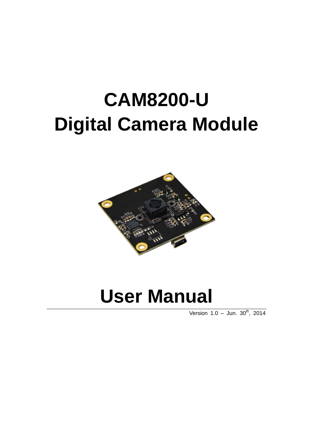# **CAM8200-U Digital Camera Module**



# **User Manual**

Version  $1.0 -$  Jun.  $30^{th}$ ,  $2014$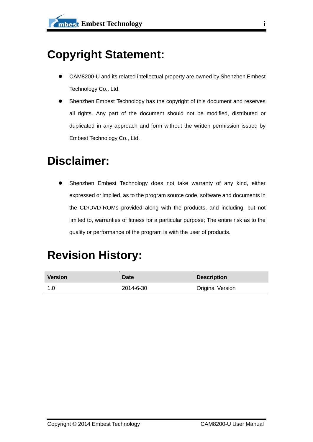## **Copyright Statement:**

- CAM8200-U and its related intellectual property are owned by Shenzhen Embest Technology Co., Ltd.
- Shenzhen Embest Technology has the copyright of this document and reserves all rights. Any part of the document should not be modified, distributed or duplicated in any approach and form without the written permission issued by Embest Technology Co., Ltd.

## **Disclaimer:**

 Shenzhen Embest Technology does not take warranty of any kind, either expressed or implied, as to the program source code, software and documents in the CD/DVD-ROMs provided along with the products, and including, but not limited to, warranties of fitness for a particular purpose; The entire risk as to the quality or performance of the program is with the user of products.

## **Revision History:**

| <b>Version</b> | Date      | <b>Description</b>      |
|----------------|-----------|-------------------------|
| -1.0           | 2014-6-30 | <b>Original Version</b> |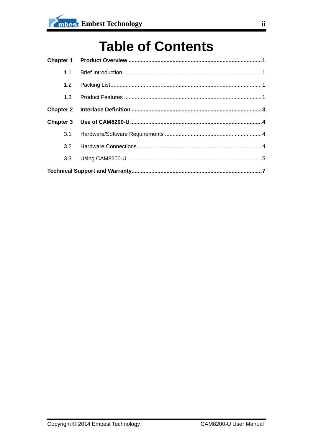## **Table of Contents**

| 3.2              |  |  |
|------------------|--|--|
| 3.3 <sub>2</sub> |  |  |
|                  |  |  |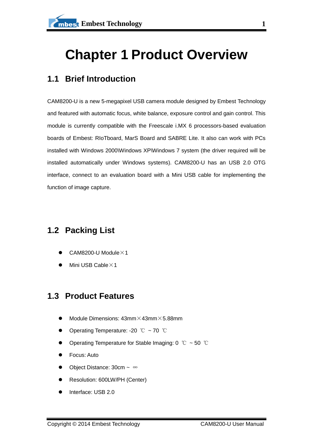## <span id="page-3-0"></span>**Chapter 1 Product Overview**

### <span id="page-3-1"></span>**1.1 Brief Introduction**

CAM8200-U is a new 5-megapixel USB camera module designed by Embest Technology and featured with automatic focus, white balance, exposure control and gain control. This module is currently compatible with the Freescale i.MX 6 processors-based evaluation boards of Embest: RIoTboard, MarS Board and SABRE Lite. It also can work with PCs installed with Windows 2000\Windows XP\Windows 7 system (the driver required will be installed automatically under Windows systems). CAM8200-U has an USB 2.0 OTG interface, connect to an evaluation board with a Mini USB cable for implementing the function of image capture.

### <span id="page-3-2"></span>**1.2 Packing List**

- CAM8200-U Module $\times$ 1
- Mini USB Cable $\times$ 1

### <span id="page-3-3"></span>**1.3 Product Features**

- Module Dimensions: 43mm×43mm×5.88mm
- Operating Temperature: -20 ℃ ~ 70 ℃
- Operating Temperature for Stable Imaging: 0 ℃ ~ 50 ℃
- Focus: Auto
- Object Distance: 30cm ~ ∞
- Resolution: 600LW/PH (Center)
- Interface: USB 2.0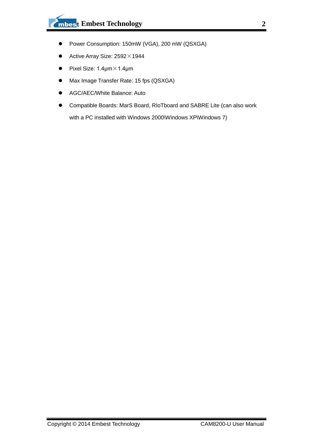- Power Consumption: 150mW (VGA), 200 mW (QSXGA)
- $\bullet$  Active Array Size: 2592 $\times$ 1944
- **•** Pixel Size:  $1.4 \mu m \times 1.4 \mu m$
- Max Image Transfer Rate: 15 fps (QSXGA)
- AGC/AEC/White Balance: Auto
- Compatible Boards: MarS Board, RIoTboard and SABRE Lite (can also work with a PC installed with Windows 2000\Windows XP\Windows 7)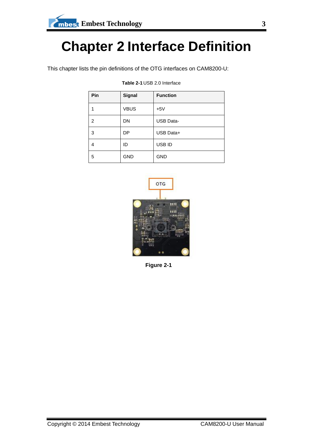## <span id="page-5-0"></span>**Chapter 2 Interface Definition**

This chapter lists the pin definitions of the OTG interfaces on CAM8200-U:

| Pin            | <b>Signal</b> | <b>Function</b>  |
|----------------|---------------|------------------|
|                | <b>VBUS</b>   | $+5V$            |
| $\overline{2}$ | <b>DN</b>     | <b>USB Data-</b> |
| 3              | DP            | USB Data+        |
| 4              | ID            | USB ID           |
| 5              | <b>GND</b>    | <b>GND</b>       |

#### **Table 2-1** USB 2.0 Interface



**Figure 2-1**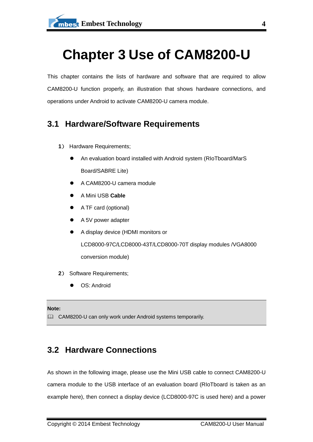## <span id="page-6-0"></span>**Chapter 3 Use of CAM8200-U**

This chapter contains the lists of hardware and software that are required to allow CAM8200-U function properly, an illustration that shows hardware connections, and operations under Android to activate CAM8200-U camera module.

### <span id="page-6-1"></span>**3.1 Hardware/Software Requirements**

- **1**) Hardware Requirements;
	- An evaluation board installed with Android system (RIoTboard/MarS Board/SABRE Lite)
	- A CAM8200-U camera module
	- A Mini USB **Cable**
	- A TF card (optional)
	- A 5V power adapter
	- A display device (HDMI monitors or LCD8000-97C/LCD8000-43T/LCD8000-70T display modules /VGA8000 conversion module)
- **2**) Software Requirements;
	- OS: Android

#### **Note:**

CAM8200-U can only work under Android systems temporarily.

### <span id="page-6-2"></span>**3.2 Hardware Connections**

As shown in the following image, please use the Mini USB cable to connect CAM8200-U camera module to the USB interface of an evaluation board (RIoTboard is taken as an example here), then connect a display device (LCD8000-97C is used here) and a power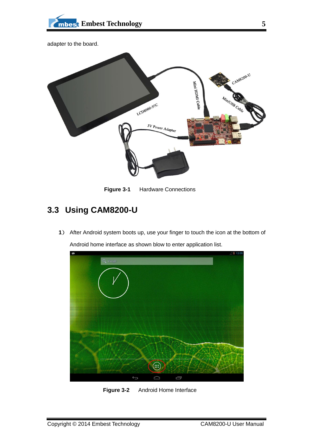



**Figure 3-1** Hardware Connections

### <span id="page-7-0"></span>**3.3 Using CAM8200-U**

**1**) After Android system boots up, use your finger to touch the icon at the bottom of Android home interface as shown blow to enter application list.



**Figure 3-2** Android Home Interface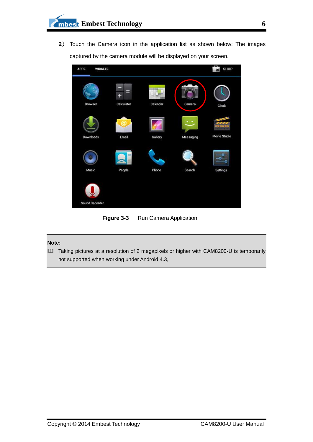**2**) Touch the Camera icon in the application list as shown below; The images captured by the camera module will be displayed on your screen.



**Figure 3-3** Run Camera Application

#### **Note:**

 Taking pictures at a resolution of 2 megapixels or higher with CAM8200-U is temporarily not supported when working under Android 4.3,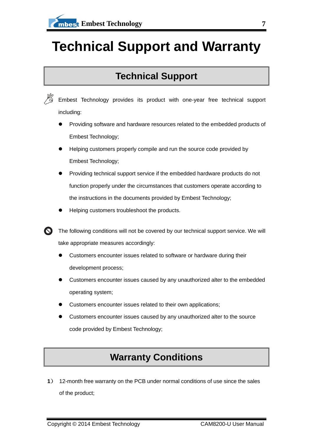## <span id="page-9-0"></span>**Technical Support and Warranty**

### **Technical Support**



Embest Technology provides its product with one-year free technical support including:

- Providing software and hardware resources related to the embedded products of Embest Technology;
- Helping customers properly compile and run the source code provided by Embest Technology;
- Providing technical support service if the embedded hardware products do not function properly under the circumstances that customers operate according to the instructions in the documents provided by Embest Technology;
- Helping customers troubleshoot the products.

The following conditions will not be covered by our technical support service. We will take appropriate measures accordingly:

- Customers encounter issues related to software or hardware during their development process;
- Customers encounter issues caused by any unauthorized alter to the embedded operating system;
- Customers encounter issues related to their own applications;
- Customers encounter issues caused by any unauthorized alter to the source code provided by Embest Technology;

## **Warranty Conditions**

**1**) 12-month free warranty on the PCB under normal conditions of use since the sales of the product;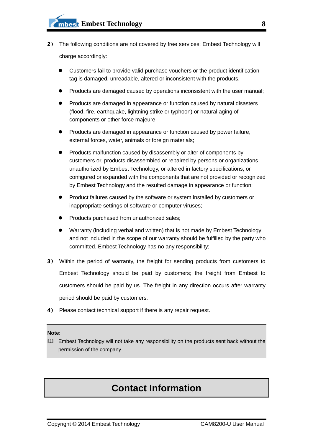- **2**) The following conditions are not covered by free services; Embest Technology will charge accordingly:
	- Customers fail to provide valid purchase vouchers or the product identification tag is damaged, unreadable, altered or inconsistent with the products.
	- Products are damaged caused by operations inconsistent with the user manual;
	- Products are damaged in appearance or function caused by natural disasters (flood, fire, earthquake, lightning strike or typhoon) or natural aging of components or other force majeure;
	- Products are damaged in appearance or function caused by power failure, external forces, water, animals or foreign materials;
	- Products malfunction caused by disassembly or alter of components by customers or, products disassembled or repaired by persons or organizations unauthorized by Embest Technology, or altered in factory specifications, or configured or expanded with the components that are not provided or recognized by Embest Technology and the resulted damage in appearance or function;
	- Product failures caused by the software or system installed by customers or inappropriate settings of software or computer viruses;
	- Products purchased from unauthorized sales;
	- Warranty (including verbal and written) that is not made by Embest Technology and not included in the scope of our warranty should be fulfilled by the party who committed. Embest Technology has no any responsibility;
- **3**) Within the period of warranty, the freight for sending products from customers to Embest Technology should be paid by customers; the freight from Embest to customers should be paid by us. The freight in any direction occurs after warranty period should be paid by customers.
- **4**) Please contact technical support if there is any repair request.

#### **Note:**

Embest Technology will not take any responsibility on the products sent back without the permission of the company.

### **Contact Information**